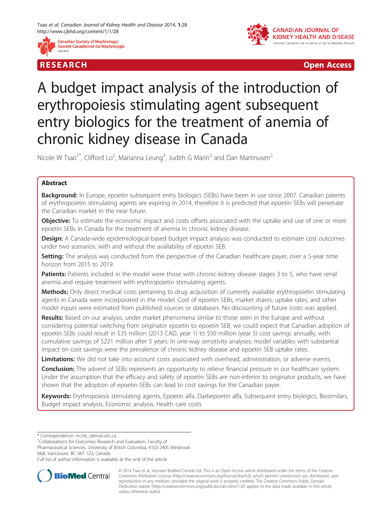



R E S EAR CH Open Access

# A budget impact analysis of the introduction of erythropoiesis stimulating agent subsequent entry biologics for the treatment of anemia of chronic kidney disease in Canada

Nicole W Tsao<sup>1\*</sup>, Clifford Lo<sup>2</sup>, Marianna Leung<sup>3</sup>, Judith G Marin<sup>3</sup> and Dan Martinusen<sup>2</sup>

## Abstract

Background: In Europe, epoetin subsequent entry biologics (SEBs) have been in use since 2007. Canadian patents of erythropoietin stimulating agents are expiring in 2014, therefore it is predicted that epoetin SEBs will penetrate the Canadian market in the near future.

**Objective:** To estimate the economic impact and costs offsets associated with the uptake and use of one or more epoetin SEBs in Canada for the treatment of anemia in chronic kidney disease.

**Design:** A Canada-wide epidemiological-based budget impact analysis was conducted to estimate cost outcomes under two scenarios: with and without the availability of epoetin SEB.

**Setting:** The analysis was conducted from the perspective of the Canadian healthcare payer, over a 5-year time horizon from 2015 to 2019.

Patients: Patients included in the model were those with chronic kidney disease stages 3 to 5, who have renal anemia and require treatment with erythropoietin stimulating agents.

Methods: Only direct medical costs pertaining to drug acquisition of currently available erythropoietin stimulating agents in Canada were incorporated in the model. Cost of epoetin SEBs, market shares, uptake rates, and other model inputs were estimated from published sources or databases. No discounting of future costs was applied.

Results: Based on our analysis, under market phenomena similar to those seen in the Europe and without considering potential switching from originator epoetin to epoetin SEB, we could expect that Canadian adoption of epoetin SEBs could result in \$35 million (2013 CAD, year 1) to \$50 million (year 5) cost savings annually, with cumulative savings of \$221 million after 5 years. In one-way sensitivity analyses, model variables with substantial impact on cost savings were the prevalence of chronic kidney disease and epoetin SEB uptake rates.

Limitations: We did not take into account costs associated with overhead, administration, or adverse events.

**Conclusion:** The advent of SEBs represents an opportunity to relieve financial pressure in our healthcare system. Under the assumption that the efficacy and safety of epoetin SEBs are non-inferior to originator products, we have shown that the adoption of epoetin SEBs can lead to cost savings for the Canadian payer.

Keywords: Erythropoiesis stimulating agents, Epoetin alfa, Darbepoetin alfa, Subsequent entry biologics, Biosimilars, Budget impact analysis, Economic analysis, Health care costs

\* Correspondence: [nicole\\_t@mail.ubc.ca](mailto:nicole_t@mail.ubc.ca) <sup>1</sup>

<sup>1</sup>Collaborations for Outcomes Research and Evaluation, Faculty of

Pharmaceutical Sciences, University of British Columbia, 4102-2405 Wesbrook Mall, Vancouver, BC V6T 1Z3, Canada

Full list of author information is available at the end of the article



© 2014 Tsao et al.; licensee BioMed Central Ltd. This is an Open Access article distributed under the terms of the Creative Commons Attribution License [\(http://creativecommons.org/licenses/by/4.0\)](http://creativecommons.org/licenses/by/4.0), which permits unrestricted use, distribution, and reproduction in any medium, provided the original work is properly credited. The Creative Commons Public Domain Dedication waiver [\(http://creativecommons.org/publicdomain/zero/1.0/](http://creativecommons.org/publicdomain/zero/1.0/)) applies to the data made available in this article, unless otherwise stated.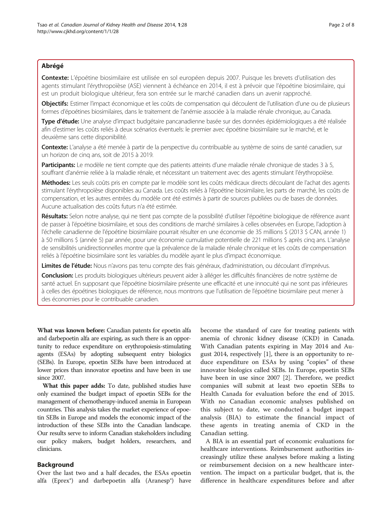## Abrégé

Contexte: L'époétine biosimilaire est utilisée en sol européen depuis 2007. Puisque les brevets d'utilisation des agents stimulant l'érythropoïèse (ASE) viennent à échéance en 2014, il est à prévoir que l'époétine biosimilaire, qui est un produit biologique ultérieur, fera son entrée sur le marché canadien dans un avenir rapproché.

Objectifs: Estimer l'impact économique et les coûts de compensation qui découlent de l'utilisation d'une ou de plusieurs formes d'époétines biosimilaires, dans le traitement de l'anémie associée à la maladie rénale chronique, au Canada.

Type d'étude: Une analyse d'impact budgétaire pancanadienne basée sur des données épidémiologiques a été réalisée afin d'estimer les coûts reliés à deux scénarios éventuels: le premier avec époétine biosimilaire sur le marché, et le deuxième sans cette disponibilité.

Contexte: L'analyse a été menée à partir de la perspective du contribuable au système de soins de santé canadien, sur un horizon de cinq ans, soit de 2015 à 2019.

Participants: Le modèle ne tient compte que des patients atteints d'une maladie rénale chronique de stades 3 à 5, souffrant d'anémie reliée à la maladie rénale, et nécessitant un traitement avec des agents stimulant l'érythropoïèse.

Méthodes: Les seuls coûts pris en compte par le modèle sont les coûts médicaux directs découlant de l'achat des agents stimulant l'érythropoïèse disponibles au Canada. Les coûts reliés à l'époétine biosimilaire, les parts de marché, les coûts de compensation, et les autres entrées du modèle ont été estimés à partir de sources publiées ou de bases de données. Aucune actualisation des coûts futurs n'a été estimée.

Résultats: Selon notre analyse, qui ne tient pas compte de la possibilité d'utiliser l'époétine biologique de référence avant de passer à l'époétine biosimilaire, et sous des conditions de marché similaires à celles observées en Europe, l'adoption à l'échelle canadienne de l'époétine biosimilaire pourrait résulter en une économie de 35 millions \$ (2013 \$ CAN, année 1) à 50 millions \$ (année 5) par année, pour une économie cumulative potentielle de 221 millions \$ après cinq ans. L'analyse de sensibilités unidirectionnelles montre que la prévalence de la maladie rénale chronique et les coûts de compensation reliés à l'époétine biosimilaire sont les variables du modèle ayant le plus d'impact économique.

Limites de l'étude: Nous n'avons pas tenu compte des frais généraux, d'administration, ou découlant d'imprévus.

Conclusion: Les produits biologiques ultérieurs peuvent aider à alléger les difficultés financières de notre système de santé actuel. En supposant que l'époétine biosimilaire présente une efficacité et une innocuité qui ne sont pas inférieures à celles des époétines biologiques de référence, nous montrons que l'utilisation de l'époétine biosimilaire peut mener à des économies pour le contribuable canadien.

What was known before: Canadian patents for epoetin alfa and darbepoetin alfa are expiring, as such there is an opportunity to reduce expenditure on erythropoiesis-stimulating agents (ESAs) by adopting subsequent entry biologics (SEBs). In Europe, epoetin SEBs have been introduced at lower prices than innovator epoetins and have been in use since 2007.

What this paper adds: To date, published studies have only examined the budget impact of epoetin SEBs for the management of chemotherapy-induced anemia in European countries. This analysis takes the market experience of epoetin SEBs in Europe and models the economic impact of the introduction of these SEBs into the Canadian landscape. Our results serve to inform Canadian stakeholders including our policy makers, budget holders, researchers, and clinicians.

#### Background

Over the last two and a half decades, the ESAs epoetin alfa (Eprex®) and darbepoetin alfa (Aranesp®) have

become the standard of care for treating patients with anemia of chronic kidney disease (CKD) in Canada. With Canadian patents expiring in May 2014 and August 2014, respectively [[1\]](#page-6-0), there is an opportunity to reduce expenditure on ESAs by using "copies" of these innovator biologics called SEBs. In Europe, epoetin SEBs have been in use since 2007 [\[2](#page-6-0)]. Therefore, we predict companies will submit at least two epoetin SEBs to Health Canada for evaluation before the end of 2015. With no Canadian economic analyses published on this subject to date, we conducted a budget impact analysis (BIA) to estimate the financial impact of these agents in treating anemia of CKD in the Canadian setting.

A BIA is an essential part of economic evaluations for healthcare interventions. Reimbursement authorities increasingly utilize these analyses before making a listing or reimbursement decision on a new healthcare intervention. The impact on a particular budget, that is, the difference in healthcare expenditures before and after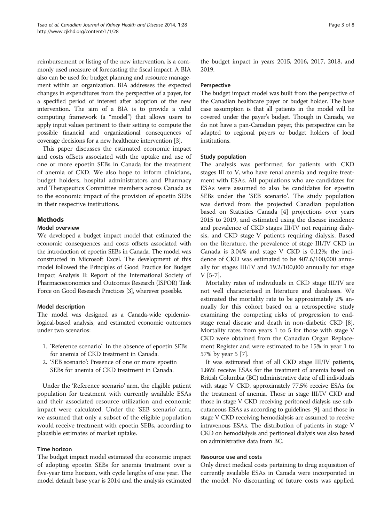reimbursement or listing of the new intervention, is a commonly used measure of forecasting the fiscal impact. A BIA also can be used for budget planning and resource management within an organization. BIA addresses the expected changes in expenditures from the perspective of a payer, for a specified period of interest after adoption of the new intervention. The aim of a BIA is to provide a valid computing framework (a "model") that allows users to apply input values pertinent to their setting to compute the possible financial and organizational consequences of coverage decisions for a new healthcare intervention [\[3\]](#page-6-0).

This paper discusses the estimated economic impact and costs offsets associated with the uptake and use of one or more epoetin SEBs in Canada for the treatment of anemia of CKD. We also hope to inform clinicians, budget holders, hospital administrators and Pharmacy and Therapeutics Committee members across Canada as to the economic impact of the provision of epoetin SEBs in their respective institutions.

## Methods

## Model overview

We developed a budget impact model that estimated the economic consequences and costs offsets associated with the introduction of epoetin SEBs in Canada. The model was constructed in Microsoft Excel. The development of this model followed the Principles of Good Practice for Budget Impact Analysis II: Report of the International Society of Pharmacoeconomics and Outcomes Research (ISPOR) Task Force on Good Research Practices [\[3](#page-6-0)], wherever possible.

## Model description

The model was designed as a Canada-wide epidemiological-based analysis, and estimated economic outcomes under two scenarios:

- 1. 'Reference scenario': In the absence of epoetin SEBs for anemia of CKD treatment in Canada.
- 2. 'SEB scenario': Presence of one or more epoetin SEBs for anemia of CKD treatment in Canada.

Under the 'Reference scenario' arm, the eligible patient population for treatment with currently available ESAs and their associated resource utilization and economic impact were calculated. Under the 'SEB scenario' arm, we assumed that only a subset of the eligible population would receive treatment with epoetin SEBs, according to plausible estimates of market uptake.

## Time horizon

The budget impact model estimated the economic impact of adopting epoetin SEBs for anemia treatment over a five-year time horizon, with cycle lengths of one year. The model default base year is 2014 and the analysis estimated

the budget impact in years 2015, 2016, 2017, 2018, and 2019.

## Perspective

The budget impact model was built from the perspective of the Canadian healthcare payer or budget holder. The base case assumption is that all patients in the model will be covered under the payer's budget. Though in Canada, we do not have a pan-Canadian payer, this perspective can be adapted to regional payers or budget holders of local institutions.

## Study population

The analysis was performed for patients with CKD stages III to V, who have renal anemia and require treatment with ESAs. All populations who are candidates for ESAs were assumed to also be candidates for epoetin SEBs under the 'SEB scenario'. The study population was derived from the projected Canadian population based on Statistics Canada [\[4\]](#page-6-0) projections over years 2015 to 2019, and estimated using the disease incidence and prevalence of CKD stages III/IV not requiring dialysis, and CKD stage V patients requiring dialysis. Based on the literature, the prevalence of stage III/IV CKD in Canada is 3.04% and stage V CKD is 0.12%; the incidence of CKD was estimated to be 407.6/100,000 annually for stages III/IV and 19.2/100,000 annually for stage V [[5-7\]](#page-6-0).

Mortality rates of individuals in CKD stage III/IV are not well characterised in literature and databases. We estimated the mortality rate to be approximately 2% annually for this cohort based on a retrospective study examining the competing risks of progression to endstage renal disease and death in non-diabetic CKD [\[8](#page-7-0)]. Mortality rates from years 1 to 5 for those with stage V CKD were obtained from the Canadian Organ Replacement Register and were estimated to be 15% in year 1 to 57% by year 5 [[7\]](#page-6-0).

It was estimated that of all CKD stage III/IV patients, 1.86% receive ESAs for the treatment of anemia based on British Columbia (BC) administrative data; of all individuals with stage V CKD, approximately 77.5% receive ESAs for the treatment of anemia. Those in stage III/IV CKD and those in stage V CKD receiving peritoneal dialysis use subcutaneous ESAs as according to guidelines [[9](#page-7-0)]; and those in stage V CKD receiving hemodialysis are assumed to receive intravenous ESAs. The distribution of patients in stage V CKD on hemodialysis and peritoneal dialysis was also based on administrative data from BC.

## Resource use and costs

Only direct medical costs pertaining to drug acquisition of currently available ESAs in Canada were incorporated in the model. No discounting of future costs was applied.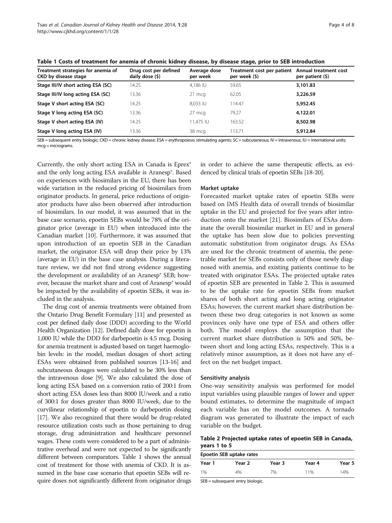|  |  |  |  |  |  |  |  |  |  |  | Table 1 Costs of treatment for anemia of chronic kidney disease, by disease stage, prior to SEB introduction |  |  |  |
|--|--|--|--|--|--|--|--|--|--|--|--------------------------------------------------------------------------------------------------------------|--|--|--|
|--|--|--|--|--|--|--|--|--|--|--|--------------------------------------------------------------------------------------------------------------|--|--|--|

| Treatment strategies for anemia of<br>CKD by disease stage | Drug cost per defined<br>daily dose (\$) | Average dose<br>per week | Treatment cost per patient<br>per week (\$) | Annual treatment cost<br>per patient (\$) |
|------------------------------------------------------------|------------------------------------------|--------------------------|---------------------------------------------|-------------------------------------------|
| Stage III/IV short acting ESA (SC)                         | 14.25                                    | 4.186 IU                 | 59.65                                       | 3,101.83                                  |
| Stage III/IV long acting ESA (SC)                          | 13.36                                    | $21 \text{ mca}$         | 62.05                                       | 3,226.59                                  |
| Stage V short acting ESA (SC)                              | 14.25                                    | 8.033 IU                 | 114.47                                      | 5,952.45                                  |
| Stage V long acting ESA (SC)                               | 13.36                                    | 27 mcg                   | 79.27                                       | 4,122.01                                  |
| Stage V short acting ESA (IV)                              | 14.25                                    | 11.475 IU                | 163.52                                      | 8,502.98                                  |
| Stage V long acting ESA (IV)                               | 13.36                                    | 38 mcg                   | 113.71                                      | 5,912.84                                  |

SEB = subsequent entry biologic; CKD = chronic kidney disease; ESA = erythropoiesis stimulating agents; SC = subcutaneous; IV = intravenous; IU = international units; mcg = micrograms.

Currently, the only short acting ESA in Canada is Eprex® and the only long acting ESA available is Aranesp®. Based on experiences with biosimilars in the EU, there has been wide variation in the reduced pricing of biosimilars from originator products. In general, price reductions of originator products have also been observed after introduction of biosimilars. In our model, it was assumed that in the base case scenario, epoetin SEBs would be 78% of the originator price (average in EU) when introduced into the Canadian market [\[10\]](#page-7-0). Furthermore, it was assumed that upon introduction of an epoetin SEB in the Canadian market, the originator ESA will drop their price by 13% (average in EU) in the base case analysis. During a literature review, we did not find strong evidence suggesting the development or availability of an Aranesp® SEB; however, because the market share and cost of Aranesp® would be impacted by the availability of epoetin SEBs, it was included in the analysis.

The drug cost of anemia treatments were obtained from the Ontario Drug Benefit Formulary [[11](#page-7-0)] and presented as cost per defined daily dose (DDD) according to the World Health Organization [[12](#page-7-0)]. Defined daily dose for epoetin is 1,000 IU while the DDD for darbepoetin is 4.5 mcg. Dosing for anemia treatment is adjusted based on target haemoglobin levels: in the model, median dosages of short acting ESAs were obtained from published sources [\[13-16](#page-7-0)] and subcutaneous dosages were calculated to be 30% less than the intravenous dose [[9](#page-7-0)]. We also calculated the dose of long acting ESA based on a conversion ratio of 200:1 from short acting ESA doses less than 8000 IU/week and a ratio of 300:1 for doses greater than 8000 IU/week, due to the curvilinear relationship of epoetin to darbepoetin dosing [[17](#page-7-0)]. We also recognized that there would be drug-related resource utilization costs such as those pertaining to drug storage, drug administration and healthcare personnel wages. These costs were considered to be a part of administrative overhead and were not expected to be significantly different between comparators. Table 1 shows the annual cost of treatment for those with anemia of CKD. It is assumed in the base case scenario that epoetin SEBs will require doses not significantly different from originator drugs in order to achieve the same therapeutic effects, as evidenced by clinical trials of epoetin SEBs [[18-20\]](#page-7-0).

### Market uptake

Forecasted market uptake rates of epoetin SEBs were based on IMS Health data of overall trends of biosimilar uptake in the EU and projected for five years after introduction onto the market [\[21](#page-7-0)]. Biosimilars of ESAs dominate the overall biosimilar market in EU and in general the uptake has been slow due to policies preventing automatic substitution from originator drugs. As ESAs are used for the chronic treatment of anemia, the penetrable market for SEBs consists only of those newly diagnosed with anemia, and existing patients continue to be treated with originator ESAs. The projected uptake rates of epoetin SEB are presented in Table 2. This is assumed to be the uptake rate for epoetin SEBs from market shares of both short acting and long acting originator ESAs; however, the current market share distribution between these two drug categories is not known as some provinces only have one type of ESA and others offer both. The model employs the assumption that the current market share distribution is 50% and 50%, between short and long acting ESAs, respectively. This is a relatively minor assumption, as it does not have any effect on the net budget impact.

#### Sensitivity analysis

One-way sensitivity analysis was performed for model input variables using plausible ranges of lower and upper bound estimates, to determine the magnitude of impact each variable has on the model outcomes. A tornado diagram was generated to illustrate the impact of each variable on the budget.

Table 2 Projected uptake rates of epoetin SEB in Canada, years 1 to 5

| Epoetin SEB uptake rates |        |        |        |        |  |  |
|--------------------------|--------|--------|--------|--------|--|--|
| Year 1                   | Year 2 | Year 3 | Year 4 | Year 5 |  |  |
| 1%                       | 4%     | 7%     | 11%    | 14%    |  |  |

SEB = subsequent entry biologic.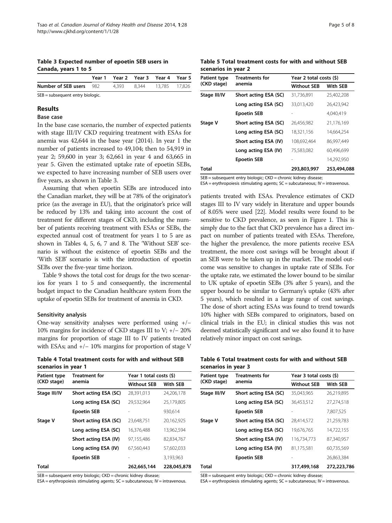Table 3 Expected number of epoetin SEB users in Canada, years 1 to 5

|                                    | Year 1 |       |  | Year 2 Year 3 Year 4 Year 5 |  |  |
|------------------------------------|--------|-------|--|-----------------------------|--|--|
| <b>Number of SEB users</b> 982     |        | 4.393 |  | 8.344 13.785 17.826         |  |  |
| $SEB =$ subsequent entry biologic. |        |       |  |                             |  |  |

Results

#### Base case

In the base case scenario, the number of expected patients with stage III/IV CKD requiring treatment with ESAs for anemia was 42,644 in the base year (2014). In year 1 the number of patients increased to 49,104; then to 54,919 in year 2; 59,600 in year 3; 62,661 in year 4 and 63,665 in year 5. Given the estimated uptake rate of epoetin SEBs, we expected to have increasing number of SEB users over five years, as shown in Table 3.

Assuming that when epoetin SEBs are introduced into the Canadian market, they will be at 78% of the originator's price (as the average in EU), that the originator's price will be reduced by 13% and taking into account the cost of treatment for different stages of CKD, including the number of patients receiving treatment with ESAs or SEBs, the expected annual cost of treatment for years 1 to 5 are as shown in Tables 4, 5, 6, [7](#page-5-0) and [8.](#page-5-0) The 'Without SEB' scenario is without the existence of epoetin SEBs and the 'With SEB' scenario is with the introduction of epoetin SEBs over the five-year time horizon.

Table [9](#page-5-0) shows the total cost for drugs for the two scenarios for years 1 to 5 and consequently, the incremental budget impact to the Canadian healthcare system from the uptake of epoetin SEBs for treatment of anemia in CKD.

#### Sensitivity analysis

One-way sensitivity analyses were performed using +/− 10% margins for incidence of CKD stages III to V; +/− 20% margins for proportion of stage III to IV patients treated with ESAs; and +/− 10% margins for proportion of stage V

Table 4 Total treatment costs for with and without SEB scenarios in year 1

| <b>Patient type</b> | <b>Treatment for</b>  | Year 1 total costs (\$) |                 |  |  |
|---------------------|-----------------------|-------------------------|-----------------|--|--|
| (CKD stage)         | anemia                | <b>Without SEB</b>      | <b>With SEB</b> |  |  |
| Stage III/IV        | Short acting ESA (SC) | 28,391,013              | 24,206,178      |  |  |
|                     | Long acting ESA (SC)  | 29,532,964              | 25,179,805      |  |  |
|                     | <b>Epoetin SEB</b>    |                         | 930.614         |  |  |
| Stage V             | Short acting ESA (SC) | 23,648,751              | 20,162,925      |  |  |
|                     | Long acting ESA (SC)  | 16.376.488              | 13,962,594      |  |  |
|                     | Short acting ESA (IV) | 97,155,486              | 82,834,767      |  |  |
|                     | Long acting ESA (IV)  | 67,560,443              | 57,602,033      |  |  |
|                     | <b>Epoetin SEB</b>    |                         | 3,193,963       |  |  |
| <b>Total</b>        |                       | 262,665,144             | 228,045,878     |  |  |

SEB = subsequent entry biologic; CKD = chronic kidney disease;

ESA = erythropoiesis stimulating agents; SC = subcutaneous; IV = intravenous.

Table 5 Total treatment costs for with and without SEB scenarios in year 2

| <b>Patient type</b> | <b>Treatments for</b> | Year 2 total costs (\$) |                 |  |  |
|---------------------|-----------------------|-------------------------|-----------------|--|--|
| (CKD stage)         | anemia                | <b>Without SEB</b>      | <b>With SEB</b> |  |  |
| Stage III/IV        | Short acting ESA (SC) | 31,736,891              | 25.402.208      |  |  |
|                     | Long acting ESA (SC)  | 33,013,420              | 26,423,942      |  |  |
|                     | <b>Epoetin SEB</b>    |                         | 4,040,419       |  |  |
| Stage V             | Short acting ESA (SC) | 26.456.982              | 21.176.169      |  |  |
|                     | Long acting ESA (SC)  | 18,321,156              | 14.664.254      |  |  |
|                     | Short acting ESA (IV) | 108.692.464             | 86.997.449      |  |  |
|                     | Long acting ESA (IV)  | 75,583,082              | 60,496,699      |  |  |
|                     | <b>Epoetin SEB</b>    |                         | 14.292.950      |  |  |
| Total               |                       | 293,803,997             | 253,494,088     |  |  |

SEB = subsequent entry biologic; CKD = chronic kidney disease;

 $ESA =$  erythropoiesis stimulating agents;  $SC =$  subcutaneous;  $IV =$  intravenous.

patients treated with ESAs. Prevalence estimates of CKD stages III to IV vary widely in literature and upper bounds of 8.05% were used [[22\]](#page-7-0). Model results were found to be sensitive to CKD prevalence, as seen in Figure [1.](#page-6-0) This is simply due to the fact that CKD prevalence has a direct impact on number of patients treated with ESAs. Therefore, the higher the prevalence, the more patients receive ESA treatment, the more cost savings will be brought about if an SEB were to be taken up in the market. The model outcome was sensitive to changes in uptake rate of SEBs. For the uptake rate, we estimated the lower bound to be similar to UK uptake of epoetin SEBs (3% after 5 years), and the upper bound to be similar to Germany's uptake (43% after 5 years), which resulted in a large range of cost savings. The dose of short acting ESAs was found to trend towards 10% higher with SEBs compared to originators, based on clinical trials in the EU; in clinical studies this was not deemed statistically significant and we also found it to have relatively minor impact on cost savings.

## Table 6 Total treatment costs for with and without SEB scenarios in year 3

| <b>Patient type</b> | <b>Treatments for</b> | Year 3 total costs (\$) |                 |  |  |
|---------------------|-----------------------|-------------------------|-----------------|--|--|
| (CKD stage)         | anemia                | <b>Without SEB</b>      | <b>With SEB</b> |  |  |
| Stage III/IV        | Short acting ESA (SC) | 35,043,965              | 26,219,895      |  |  |
|                     | Long acting ESA (SC)  | 36,453,512              | 27,274,518      |  |  |
|                     | <b>Epoetin SEB</b>    |                         | 7,807,525       |  |  |
| Stage V             | Short acting ESA (SC) | 28,414,572              | 21,259,783      |  |  |
|                     | Long acting ESA (SC)  | 19,676,765              | 14,722,155      |  |  |
|                     | Short acting ESA (IV) | 116.734.773             | 87,340,957      |  |  |
|                     | Long acting ESA (IV)  | 81.175.581              | 60,735,569      |  |  |
|                     | <b>Epoetin SEB</b>    |                         | 26,863,384      |  |  |
| <b>Total</b>        |                       | 317,499,168             | 272,223,786     |  |  |

SEB = subsequent entry biologic; CKD = chronic kidney disease;

ESA = erythropoiesis stimulating agents; SC = subcutaneous; IV = intravenous.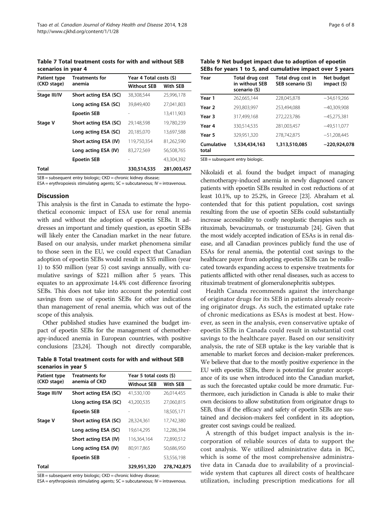<span id="page-5-0"></span>Table 7 Total treatment costs for with and without SEB scenarios in year 4

| <b>Patient type</b> | <b>Treatments for</b> | Year 4 Total costs (\$) |                 |  |  |
|---------------------|-----------------------|-------------------------|-----------------|--|--|
| (CKD stage)         | anemia                | <b>Without SEB</b>      | <b>With SEB</b> |  |  |
| Stage III/IV        | Short acting ESA (SC) | 38.308.544              | 25.996.178      |  |  |
|                     | Long acting ESA (SC)  | 39.849.400              | 27.041.803      |  |  |
|                     | <b>Epoetin SEB</b>    |                         | 13.411.903      |  |  |
| Stage V             | Short acting ESA (SC) | 29.148.598              | 19.780.239      |  |  |
|                     | Long acting ESA (SC)  | 20,185,070              | 13,697,588      |  |  |
|                     | Short acting ESA (IV) | 119,750,354             | 81,262,590      |  |  |
|                     | Long acting ESA (IV)  | 83,272,569              | 56,508,765      |  |  |
|                     | <b>Epoetin SEB</b>    |                         | 43.304.392      |  |  |
| Total               |                       | 330,514,535             | 281,003,457     |  |  |

SEB = subsequent entry biologic; CKD = chronic kidney disease;

 $ESA =$  erythropoiesis stimulating agents;  $SC =$  subcutaneous;  $IV =$  intravenous.

#### **Discussion**

This analysis is the first in Canada to estimate the hypothetical economic impact of ESA use for renal anemia with and without the adoption of epoetin SEBs. It addresses an important and timely question, as epoetin SEBs will likely enter the Canadian market in the near future. Based on our analysis, under market phenomena similar to those seen in the EU, we could expect that Canadian adoption of epoetin SEBs would result in \$35 million (year 1) to \$50 million (year 5) cost savings annually, with cumulative savings of \$221 million after 5 years. This equates to an approximate 14.4% cost difference favoring SEBs. This does not take into account the potential cost savings from use of epoetin SEBs for other indications than management of renal anemia, which was out of the scope of this analysis.

Other published studies have examined the budget impact of epoetin SEBs for the management of chemotherapy-induced anemia in European countries, with positive conclusions [\[23,24](#page-7-0)]. Though not directly comparable,

Table 8 Total treatment costs for with and without SEB scenarios in year 5

| <b>Patient type</b> | <b>Treatments for</b> | Year 5 total costs (\$) |                 |  |  |
|---------------------|-----------------------|-------------------------|-----------------|--|--|
| (CKD stage)         | anemia of CKD         | <b>Without SEB</b>      | <b>With SEB</b> |  |  |
| Stage III/IV        | Short acting ESA (SC) | 41,530,100              | 26.014.455      |  |  |
|                     | Llong acting ESA (SC) | 43,200,535              | 27,060,815      |  |  |
|                     | <b>Epoetin SEB</b>    |                         | 18,505,171      |  |  |
| Stage V             | Short acting ESA (SC) | 28,324,361              | 17.742.380      |  |  |
|                     | Long acting ESA (SC)  | 19.614.295              | 12.286.394      |  |  |
|                     | Short acting ESA (IV) | 116.364.164             | 72,890,512      |  |  |
|                     | Long acting ESA (IV)  | 80.917.865              | 50.686.950      |  |  |
|                     | <b>Epoetin SEB</b>    |                         | 53,556,198      |  |  |
| <b>Total</b>        |                       | 329,951,320             | 278,742,875     |  |  |

SEB = subsequent entry biologic; CKD = chronic kidney disease;

ESA = erythropoiesis stimulating agents; SC = subcutaneous; IV = intravenous.

| Table 9 Net budget impact due to adoption of epoetin      |  |
|-----------------------------------------------------------|--|
| SEBs for years 1 to 5, and cumulative impact over 5 years |  |

| Year                | Total drug cost<br>in without SEB<br>scenario (\$) | Total drug cost in<br>SEB scenario (\$) | Net budget<br>impact (\$) |
|---------------------|----------------------------------------------------|-----------------------------------------|---------------------------|
| Year 1              | 262,665,144                                        | 228,045,878                             | $-34,619,266$             |
| Year 2              | 293,803,997                                        | 253,494,088                             | $-40,309,908$             |
| Year 3              | 317,499,168                                        | 272,223,786                             | $-45,275,381$             |
| Year 4              | 330,514,535                                        | 281,003,457                             | $-49.511.077$             |
| Year 5              | 329.951.320                                        | 278.742.875                             | $-51,208,445$             |
| Cumulative<br>total | 1,534,434,163                                      | 1,313,510,085                           | $-220,924,078$            |

 $SEB =$  subsequent entry biologic.

Nikolaidi et al. found the budget impact of managing chemotherapy-induced anemia in newly diagnosed cancer patients with epoetin SEBs resulted in cost reductions of at least 10.1%, up to 25.2%, in Greece [\[23\]](#page-7-0). Abraham et al. contended that for this patient population, cost savings resulting from the use of epoetin SEBs could substantially increase accessibility to costly neoplastic therapies such as rituximab, bevacizumab, or trastuzumab [\[24\]](#page-7-0). Given that the most widely accepted indication of ESAs is in renal disease, and all Canadian provinces publicly fund the use of ESAs for renal anemia, the potential cost savings to the healthcare payer from adopting epoetin SEBs can be reallocated towards expanding access to expensive treatments for patients afflicted with other renal diseases, such as access to rituximab treatment of glomerulonephritis subtypes.

Health Canada recommends against the interchange of originator drugs for its SEB in patients already receiving originator drugs. As such, the estimated uptake rate of chronic medications as ESAs is modest at best. However, as seen in the analysis, even conservative uptake of epoetin SEBs in Canada could result in substantial cost savings to the healthcare payer. Based on our sensitivity analysis, the rate of SEB uptake is the key variable that is amenable to market forces and decision-maker preferences. We believe that due to the mostly positive experience in the EU with epoetin SEBs, there is potential for greater acceptance of its use when introduced into the Canadian market, as such the forecasted uptake could be more dramatic. Furthermore, each jurisdiction in Canada is able to make their own decisions to allow substitution from originator drugs to SEB, thus if the efficacy and safety of epoetin SEBs are sustained and decision-makers feel confident in its adoption, greater cost savings could be realized.

A strength of this budget impact analysis is the incorporation of reliable sources of data to support the cost analysis. We utilized administrative data in BC, which is some of the most comprehensive administrative data in Canada due to availability of a provincialwide system that captures all direct costs of healthcare utilization, including prescription medications for all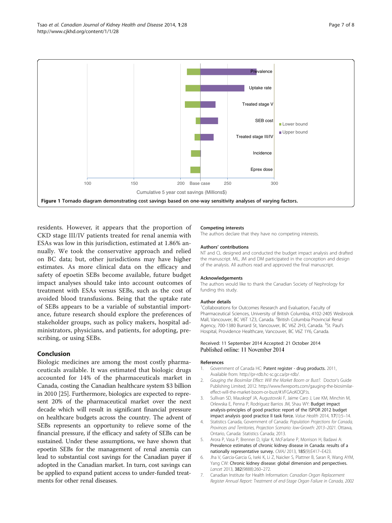<span id="page-6-0"></span>

residents. However, it appears that the proportion of CKD stage III/IV patients treated for renal anemia with ESAs was low in this jurisdiction, estimated at 1.86% annually. We took the conservative approach and relied on BC data; but, other jurisdictions may have higher estimates. As more clinical data on the efficacy and safety of epoetin SEBs become available, future budget impact analyses should take into account outcomes of treatment with ESAs versus SEBs, such as the cost of avoided blood transfusions. Being that the uptake rate of SEBs appears to be a variable of substantial importance, future research should explore the preferences of stakeholder groups, such as policy makers, hospital administrators, physicians, and patients, for adopting, prescribing, or using SEBs.

## Conclusion

Biologic medicines are among the most costly pharmaceuticals available. It was estimated that biologic drugs accounted for 14% of the pharmaceuticals market in Canada, costing the Canadian healthcare system \$3 billion in 2010 [\[25\]](#page-7-0). Furthermore, biologics are expected to represent 20% of the pharmaceutical market over the next decade which will result in significant financial pressure on healthcare budgets across the country. The advent of SEBs represents an opportunity to relieve some of the financial pressure, if the efficacy and safety of SEBs can be sustained. Under these assumptions, we have shown that epoetin SEBs for the management of renal anemia can lead to substantial cost savings for the Canadian payer if adopted in the Canadian market. In turn, cost savings can be applied to expand patient access to under-funded treatments for other renal diseases.

#### Competing interests

The authors declare that they have no competing interests.

#### Authors' contributions

NT and CL designed and conducted the budget impact analysis and drafted the manuscript. ML, JM and DM participated in the conception and design of the analysis. All authors read and approved the final manuscript.

#### Acknowledgements

The authors would like to thank the Canadian Society of Nephrology for funding this study.

#### Author details

<sup>1</sup>Collaborations for Outcomes Research and Evaluation, Faculty of Pharmaceutical Sciences, University of British Columbia, 4102-2405 Wesbrook Mall, Vancouver, BC V6T 1Z3, Canada. <sup>2</sup>British Columbia Provincial Renal Agency, 700-1380 Burrard St, Vancouver, BC V6Z 2H3, Canada. <sup>3</sup>St. Paul's Hospital, Providence Healthcare, Vancouver, BC V6Z 1Y6, Canada.

#### Received: 11 September 2014 Accepted: 21 October 2014 Published online: 11 November 2014

#### References

- 1. Government of Canada HC: Patent register drug products. 2011, Available from:<http://pr-rdb.hc-sc.gc.ca/pr-rdb/>.
- 2. Gauging the Biosimilar Effect: Will the Market Boom or Bust?. Doctor's Guide Publishing Limited; 2012. [http://www.fwreports.com/gauging-the-biosimilar](http://www.fwreports.com/gauging-the-biosimilar-effect-will-the-market-boom-or-bust/#.VFGAoKOQPJs)[effect-will-the-market-boom-or-bust/#.VFGAoKOQPJs.](http://www.fwreports.com/gauging-the-biosimilar-effect-will-the-market-boom-or-bust/#.VFGAoKOQPJs)
- 3. Sullivan SD, Mauskopf JA, Augustovski F, Jaime Caro J, Lee KM, Minchin M, Orlewska E, Penna P, Rodriguez Barrios JM, Shau WY: Budget impact analysis-principles of good practice: report of the ISPOR 2012 budget impact analysis good practice II task force. Value Health 2014, 17(1):5–14.
- 4. Statistics Canada, Government of Canada: Population Projections for Canada, Provinces and Territories, Projection Scenario: low-Growth: 2013–2021. Ottawa, Ontario, Canada: Statistics Canada; 2013.
- 5. Arora P, Vasa P, Brenner D, Iglar K, McFarlane P, Morrison H, Badawi A: Prevalence estimates of chronic kidney disease in Canada: results of a nationally representative survey. CMAJ 2013, 185(9):E417–E423.
- 6. Jha V, Garcia-Garcia G, Iseki K, Li Z, Naicker S, Plattner B, Saran R, Wang AYM, Yang CW: Chronic kidney disease: global dimension and perspectives. Lancet 2013, 382(9888):260–272.
- 7. Canadian Institute for Health Information: Canadian Organ Replacement Register Annual Report: Treatment of end-Stage Organ Failure in Canada, 2002